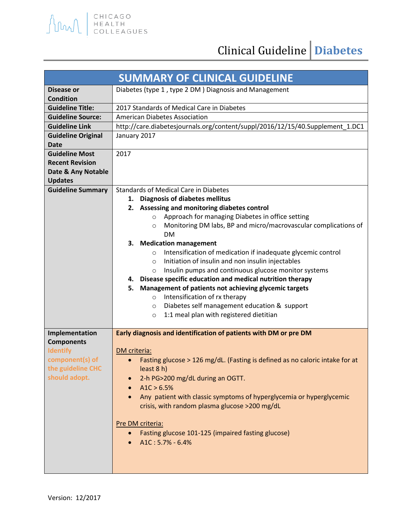

| <b>SUMMARY OF CLINICAL GUIDELINE</b> |                                                                               |
|--------------------------------------|-------------------------------------------------------------------------------|
| Disease or                           | Diabetes (type 1, type 2 DM) Diagnosis and Management                         |
| <b>Condition</b>                     |                                                                               |
| <b>Guideline Title:</b>              | 2017 Standards of Medical Care in Diabetes                                    |
| <b>Guideline Source:</b>             | <b>American Diabetes Association</b>                                          |
| <b>Guideline Link</b>                | http://care.diabetesjournals.org/content/suppl/2016/12/15/40.Supplement_1.DC1 |
| <b>Guideline Original</b>            | January 2017                                                                  |
| <b>Date</b>                          |                                                                               |
| <b>Guideline Most</b>                | 2017                                                                          |
| <b>Recent Revision</b>               |                                                                               |
| Date & Any Notable<br><b>Updates</b> |                                                                               |
| <b>Guideline Summary</b>             | <b>Standards of Medical Care in Diabetes</b>                                  |
|                                      | 1. Diagnosis of diabetes mellitus                                             |
|                                      | 2. Assessing and monitoring diabetes control                                  |
|                                      | Approach for managing Diabetes in office setting<br>$\circ$                   |
|                                      | Monitoring DM labs, BP and micro/macrovascular complications of<br>$\circ$    |
|                                      | <b>DM</b>                                                                     |
|                                      | 3. Medication management                                                      |
|                                      | Intensification of medication if inadequate glycemic control<br>$\circ$       |
|                                      | Initiation of insulin and non insulin injectables<br>$\circ$                  |
|                                      | Insulin pumps and continuous glucose monitor systems<br>$\circ$               |
|                                      | Disease specific education and medical nutrition therapy<br>4.                |
|                                      | Management of patients not achieving glycemic targets<br>5.                   |
|                                      | Intensification of rx therapy<br>$\circ$                                      |
|                                      | Diabetes self management education & support<br>$\circ$                       |
|                                      | 1:1 meal plan with registered dietitian<br>$\circ$                            |
| Implementation                       | Early diagnosis and identification of patients with DM or pre DM              |
| <b>Components</b>                    |                                                                               |
| <b>Identify</b>                      | DM criteria:                                                                  |
| component(s) of                      | Fasting glucose > 126 mg/dL. (Fasting is defined as no caloric intake for at  |
| the guideline CHC                    | least 8 h)                                                                    |
| should adopt.                        | 2-h PG>200 mg/dL during an OGTT.                                              |
|                                      | A1C > 6.5%                                                                    |
|                                      | Any patient with classic symptoms of hyperglycemia or hyperglycemic           |
|                                      | crisis, with random plasma glucose >200 mg/dL                                 |
|                                      |                                                                               |
|                                      | Pre DM criteria:                                                              |
|                                      | Fasting glucose 101-125 (impaired fasting glucose)                            |
|                                      | $A1C: 5.7% - 6.4%$                                                            |
|                                      |                                                                               |
|                                      |                                                                               |
|                                      |                                                                               |

AMAL EHICAGO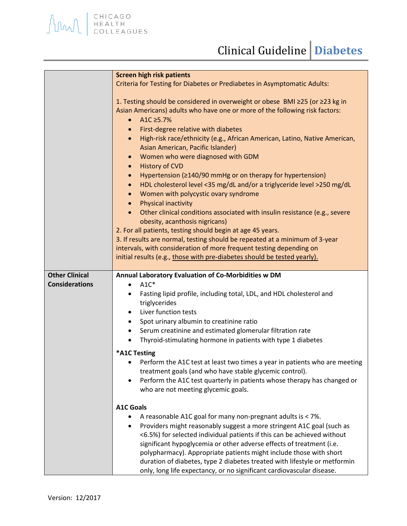|                       | <b>Screen high risk patients</b>                                                                                                                                                                                                                                                                                                                                                                                                                                  |
|-----------------------|-------------------------------------------------------------------------------------------------------------------------------------------------------------------------------------------------------------------------------------------------------------------------------------------------------------------------------------------------------------------------------------------------------------------------------------------------------------------|
|                       | Criteria for Testing for Diabetes or Prediabetes in Asymptomatic Adults:                                                                                                                                                                                                                                                                                                                                                                                          |
|                       | 1. Testing should be considered in overweight or obese BMI ≥25 (or ≥23 kg in<br>Asian Americans) adults who have one or more of the following risk factors:<br>A1C ≥5.7%<br>$\bullet$<br>First-degree relative with diabetes<br>$\bullet$<br>High-risk race/ethnicity (e.g., African American, Latino, Native American,<br>$\bullet$<br>Asian American, Pacific Islander)<br>Women who were diagnosed with GDM<br>$\bullet$                                       |
|                       | <b>History of CVD</b><br>$\bullet$                                                                                                                                                                                                                                                                                                                                                                                                                                |
|                       | Hypertension ( $\geq$ 140/90 mmHg or on therapy for hypertension)<br>$\bullet$                                                                                                                                                                                                                                                                                                                                                                                    |
|                       | HDL cholesterol level <35 mg/dL and/or a triglyceride level >250 mg/dL<br>$\bullet$                                                                                                                                                                                                                                                                                                                                                                               |
|                       | Women with polycystic ovary syndrome<br>$\bullet$                                                                                                                                                                                                                                                                                                                                                                                                                 |
|                       | Physical inactivity<br>$\bullet$<br>Other clinical conditions associated with insulin resistance (e.g., severe                                                                                                                                                                                                                                                                                                                                                    |
|                       | obesity, acanthosis nigricans)                                                                                                                                                                                                                                                                                                                                                                                                                                    |
|                       | 2. For all patients, testing should begin at age 45 years.                                                                                                                                                                                                                                                                                                                                                                                                        |
|                       | 3. If results are normal, testing should be repeated at a minimum of 3-year                                                                                                                                                                                                                                                                                                                                                                                       |
|                       | intervals, with consideration of more frequent testing depending on                                                                                                                                                                                                                                                                                                                                                                                               |
|                       | initial results (e.g., those with pre-diabetes should be tested yearly).                                                                                                                                                                                                                                                                                                                                                                                          |
|                       |                                                                                                                                                                                                                                                                                                                                                                                                                                                                   |
| <b>Other Clinical</b> | Annual Laboratory Evaluation of Co-Morbidities w DM                                                                                                                                                                                                                                                                                                                                                                                                               |
| <b>Considerations</b> | $A1C*$<br>$\bullet$                                                                                                                                                                                                                                                                                                                                                                                                                                               |
|                       | Fasting lipid profile, including total, LDL, and HDL cholesterol and<br>triglycerides                                                                                                                                                                                                                                                                                                                                                                             |
|                       | Liver function tests<br>٠                                                                                                                                                                                                                                                                                                                                                                                                                                         |
|                       | Spot urinary albumin to creatinine ratio<br>$\bullet$                                                                                                                                                                                                                                                                                                                                                                                                             |
|                       | Serum creatinine and estimated glomerular filtration rate<br>$\bullet$                                                                                                                                                                                                                                                                                                                                                                                            |
|                       | Thyroid-stimulating hormone in patients with type 1 diabetes                                                                                                                                                                                                                                                                                                                                                                                                      |
|                       | *A1C Testing                                                                                                                                                                                                                                                                                                                                                                                                                                                      |
|                       | Perform the A1C test at least two times a year in patients who are meeting<br>treatment goals (and who have stable glycemic control).<br>Perform the A1C test quarterly in patients whose therapy has changed or<br>who are not meeting glycemic goals.                                                                                                                                                                                                           |
|                       |                                                                                                                                                                                                                                                                                                                                                                                                                                                                   |
|                       | <b>A1C Goals</b>                                                                                                                                                                                                                                                                                                                                                                                                                                                  |
|                       | A reasonable A1C goal for many non-pregnant adults is < 7%.                                                                                                                                                                                                                                                                                                                                                                                                       |
|                       | Providers might reasonably suggest a more stringent A1C goal (such as<br>$\bullet$<br><6.5%) for selected individual patients if this can be achieved without<br>significant hypoglycemia or other adverse effects of treatment (i.e.<br>polypharmacy). Appropriate patients might include those with short<br>duration of diabetes, type 2 diabetes treated with lifestyle or metformin<br>only, long life expectancy, or no significant cardiovascular disease. |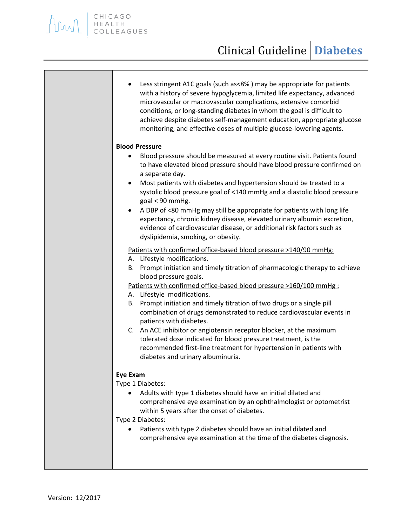## Clinical Guideline **Diabetes**

| Less stringent A1C goals (such as<8%) may be appropriate for patients<br>$\bullet$<br>with a history of severe hypoglycemia, limited life expectancy, advanced<br>microvascular or macrovascular complications, extensive comorbid<br>conditions, or long-standing diabetes in whom the goal is difficult to<br>achieve despite diabetes self-management education, appropriate glucose<br>monitoring, and effective doses of multiple glucose-lowering agents. |
|-----------------------------------------------------------------------------------------------------------------------------------------------------------------------------------------------------------------------------------------------------------------------------------------------------------------------------------------------------------------------------------------------------------------------------------------------------------------|
| <b>Blood Pressure</b>                                                                                                                                                                                                                                                                                                                                                                                                                                           |
| Blood pressure should be measured at every routine visit. Patients found<br>$\bullet$<br>to have elevated blood pressure should have blood pressure confirmed on<br>a separate day.<br>Most patients with diabetes and hypertension should be treated to a<br>$\bullet$                                                                                                                                                                                         |
| systolic blood pressure goal of <140 mmHg and a diastolic blood pressure<br>goal < 90 mmHg.                                                                                                                                                                                                                                                                                                                                                                     |
| A DBP of <80 mmHg may still be appropriate for patients with long life<br>expectancy, chronic kidney disease, elevated urinary albumin excretion,<br>evidence of cardiovascular disease, or additional risk factors such as<br>dyslipidemia, smoking, or obesity.                                                                                                                                                                                               |
| Patients with confirmed office-based blood pressure >140/90 mmHg:                                                                                                                                                                                                                                                                                                                                                                                               |
| A. Lifestyle modifications.                                                                                                                                                                                                                                                                                                                                                                                                                                     |
| B. Prompt initiation and timely titration of pharmacologic therapy to achieve                                                                                                                                                                                                                                                                                                                                                                                   |
| blood pressure goals.                                                                                                                                                                                                                                                                                                                                                                                                                                           |
| Patients with confirmed office-based blood pressure >160/100 mmHg :                                                                                                                                                                                                                                                                                                                                                                                             |
| A. Lifestyle modifications.                                                                                                                                                                                                                                                                                                                                                                                                                                     |
| B. Prompt initiation and timely titration of two drugs or a single pill<br>combination of drugs demonstrated to reduce cardiovascular events in                                                                                                                                                                                                                                                                                                                 |
| patients with diabetes.                                                                                                                                                                                                                                                                                                                                                                                                                                         |
| C. An ACE inhibitor or angiotensin receptor blocker, at the maximum<br>tolerated dose indicated for blood pressure treatment, is the                                                                                                                                                                                                                                                                                                                            |
| recommended first-line treatment for hypertension in patients with<br>diabetes and urinary albuminuria.                                                                                                                                                                                                                                                                                                                                                         |
| <b>Eye Exam</b>                                                                                                                                                                                                                                                                                                                                                                                                                                                 |
| Type 1 Diabetes:                                                                                                                                                                                                                                                                                                                                                                                                                                                |
| Adults with type 1 diabetes should have an initial dilated and<br>comprehensive eye examination by an ophthalmologist or optometrist                                                                                                                                                                                                                                                                                                                            |
| within 5 years after the onset of diabetes.                                                                                                                                                                                                                                                                                                                                                                                                                     |
| Type 2 Diabetes:                                                                                                                                                                                                                                                                                                                                                                                                                                                |
| Patients with type 2 diabetes should have an initial dilated and<br>comprehensive eye examination at the time of the diabetes diagnosis.                                                                                                                                                                                                                                                                                                                        |
|                                                                                                                                                                                                                                                                                                                                                                                                                                                                 |

AMAL ENICAGO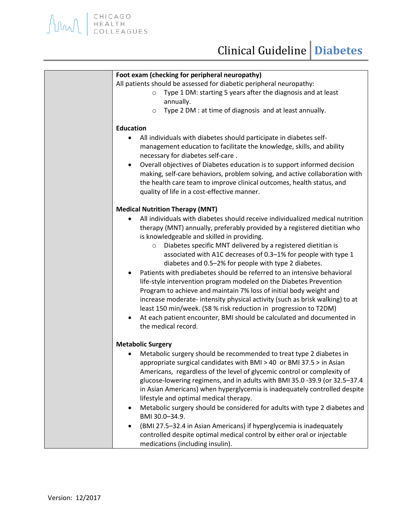| Foot exam (checking for peripheral neuropathy)                                        |
|---------------------------------------------------------------------------------------|
| All patients should be assessed for diabetic peripheral neuropathy:                   |
| Type 1 DM: starting 5 years after the diagnosis and at least<br>$\circ$               |
| annually.<br>Type 2 DM : at time of diagnosis and at least annually.                  |
| $\circ$                                                                               |
| <b>Education</b>                                                                      |
| All individuals with diabetes should participate in diabetes self-                    |
| management education to facilitate the knowledge, skills, and ability                 |
| necessary for diabetes self-care.                                                     |
| Overall objectives of Diabetes education is to support informed decision<br>$\bullet$ |
| making, self-care behaviors, problem solving, and active collaboration with           |
| the health care team to improve clinical outcomes, health status, and                 |
| quality of life in a cost-effective manner.                                           |
| <b>Medical Nutrition Therapy (MNT)</b>                                                |
| All individuals with diabetes should receive individualized medical nutrition         |
| therapy (MNT) annually, preferably provided by a registered dietitian who             |
| is knowledgeable and skilled in providing.                                            |
| Diabetes specific MNT delivered by a registered dietitian is<br>$\circ$               |
| associated with A1C decreases of 0.3-1% for people with type 1                        |
| diabetes and 0.5-2% for people with type 2 diabetes.                                  |
| Patients with prediabetes should be referred to an intensive behavioral               |
| life-style intervention program modeled on the Diabetes Prevention                    |
| Program to achieve and maintain 7% loss of initial body weight and                    |
| increase moderate- intensity physical activity (such as brisk walking) to at          |
| least 150 min/week. (58 % risk reduction in progression to T2DM)                      |
| At each patient encounter, BMI should be calculated and documented in                 |
| the medical record.                                                                   |
| <b>Metabolic Surgery</b>                                                              |
| Metabolic surgery should be recommended to treat type 2 diabetes in                   |
| appropriate surgical candidates with BMI $>$ 40 or BMI 37.5 $>$ in Asian              |
| Americans, regardless of the level of glycemic control or complexity of               |
| glucose-lowering regimens, and in adults with BMI 35.0 -39.9 (or 32.5-37.4            |
| in Asian Americans) when hyperglycemia is inadequately controlled despite             |
| lifestyle and optimal medical therapy.                                                |
| Metabolic surgery should be considered for adults with type 2 diabetes and            |
| BMI 30.0-34.9.                                                                        |
| (BMI 27.5-32.4 in Asian Americans) if hyperglycemia is inadequately                   |
| controlled despite optimal medical control by either oral or injectable               |
| medications (including insulin).                                                      |

AMAL ENICAGO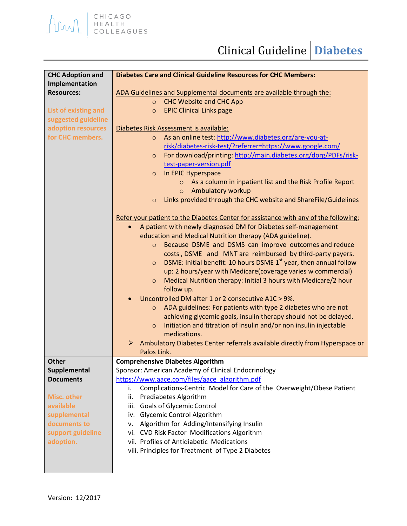## Clinical Guideline **Diabetes**

| <b>CHC Adoption and</b> | <b>Diabetes Care and Clinical Guideline Resources for CHC Members:</b>                   |
|-------------------------|------------------------------------------------------------------------------------------|
| Implementation          |                                                                                          |
| <b>Resources:</b>       | ADA Guidelines and Supplemental documents are available through the:                     |
|                         | <b>CHC Website and CHC App</b><br>$\circ$                                                |
| List of existing and    | <b>EPIC Clinical Links page</b><br>$\circ$                                               |
| suggested guideline     |                                                                                          |
| adoption resources      | Diabetes Risk Assessment is available:                                                   |
| for CHC members.        | As an online test: http://www.diabetes.org/are-you-at-<br>$\circ$                        |
|                         | risk/diabetes-risk-test/?referrer=https://www.google.com/                                |
|                         | For download/printing: http://main.diabetes.org/dorg/PDFs/risk-<br>$\circ$               |
|                         | test-paper-version.pdf                                                                   |
|                         | In EPIC Hyperspace<br>$\circ$                                                            |
|                         | o As a column in inpatient list and the Risk Profile Report                              |
|                         | <b>Ambulatory workup</b><br>$\circ$                                                      |
|                         | Links provided through the CHC website and ShareFile/Guidelines<br>$\circ$               |
|                         |                                                                                          |
|                         | Refer your patient to the Diabetes Center for assistance with any of the following:      |
|                         | A patient with newly diagnosed DM for Diabetes self-management<br>$\bullet$              |
|                         | education and Medical Nutrition therapy (ADA guideline).                                 |
|                         | Because DSME and DSMS can improve outcomes and reduce<br>$\circ$                         |
|                         | costs, DSME and MNT are reimbursed by third-party payers.                                |
|                         | DSME: Initial benefit: 10 hours DSME 1 <sup>st</sup> year, then annual follow<br>$\circ$ |
|                         | up: 2 hours/year with Medicare(coverage varies w commercial)                             |
|                         | Medical Nutrition therapy: Initial 3 hours with Medicare/2 hour<br>$\circ$               |
|                         | follow up.                                                                               |
|                         | Uncontrolled DM after 1 or 2 consecutive A1C > 9%.                                       |
|                         | ADA guidelines: For patients with type 2 diabetes who are not<br>$\circ$                 |
|                         | achieving glycemic goals, insulin therapy should not be delayed.                         |
|                         | Initiation and titration of Insulin and/or non insulin injectable<br>$\circ$             |
|                         | medications.                                                                             |
|                         | Ambulatory Diabetes Center referrals available directly from Hyperspace or<br>➤          |
|                         | Palos Link.                                                                              |
| <b>Other</b>            | <b>Comprehensive Diabetes Algorithm</b>                                                  |
| Supplemental            | Sponsor: American Academy of Clinical Endocrinology                                      |
| <b>Documents</b>        | https://www.aace.com/files/aace_algorithm.pdf                                            |
|                         | Complications-Centric Model for Care of the Overweight/Obese Patient<br>i.               |
| Misc. other             | Prediabetes Algorithm<br>ii.                                                             |
| available               | <b>Goals of Glycemic Control</b><br>iii.                                                 |
| supplemental            | iv. Glycemic Control Algorithm                                                           |
| documents to            | Algorithm for Adding/Intensifying Insulin<br>ν.                                          |
| support guideline       | vi. CVD Risk Factor Modifications Algorithm                                              |
| adoption.               | vii. Profiles of Antidiabetic Medications                                                |
|                         | viii. Principles for Treatment of Type 2 Diabetes                                        |
|                         |                                                                                          |
|                         |                                                                                          |

AMAL EHICAGO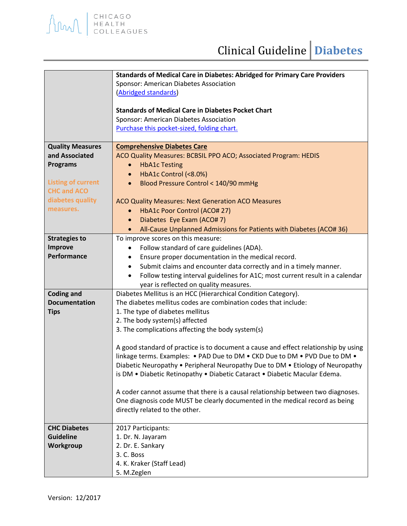|                                                                                                                                                  | Standards of Medical Care in Diabetes: Abridged for Primary Care Providers<br>Sponsor: American Diabetes Association<br>(Abridged standards)<br><b>Standards of Medical Care in Diabetes Pocket Chart</b><br>Sponsor: American Diabetes Association<br>Purchase this pocket-sized, folding chart.                                                                                                                                                                                                                                                                                                                                                                                                                                                                                                       |
|--------------------------------------------------------------------------------------------------------------------------------------------------|---------------------------------------------------------------------------------------------------------------------------------------------------------------------------------------------------------------------------------------------------------------------------------------------------------------------------------------------------------------------------------------------------------------------------------------------------------------------------------------------------------------------------------------------------------------------------------------------------------------------------------------------------------------------------------------------------------------------------------------------------------------------------------------------------------|
| <b>Quality Measures</b><br>and Associated<br><b>Programs</b><br><b>Listing of current</b><br><b>CHC and ACO</b><br>diabetes quality<br>measures. | <b>Comprehensive Diabetes Care</b><br>ACO Quality Measures: BCBSIL PPO ACO; Associated Program: HEDIS<br><b>HbA1c Testing</b><br>$\bullet$<br>HbA1c Control (<8.0%)<br>$\bullet$<br>Blood Pressure Control < 140/90 mmHg<br>$\bullet$<br>ACO Quality Measures: Next Generation ACO Measures<br>HbA1c Poor Control (ACO# 27)<br>$\bullet$                                                                                                                                                                                                                                                                                                                                                                                                                                                                |
|                                                                                                                                                  | Diabetes Eye Exam (ACO# 7)<br>$\bullet$<br>All-Cause Unplanned Admissions for Patients with Diabetes (ACO# 36)<br>$\bullet$                                                                                                                                                                                                                                                                                                                                                                                                                                                                                                                                                                                                                                                                             |
| <b>Strategies to</b><br><b>Improve</b><br>Performance                                                                                            | To improve scores on this measure:<br>Follow standard of care guidelines (ADA).<br>Ensure proper documentation in the medical record.<br>٠<br>Submit claims and encounter data correctly and in a timely manner.<br>$\bullet$<br>Follow testing interval guidelines for A1C; most current result in a calendar<br>$\bullet$<br>year is reflected on quality measures.                                                                                                                                                                                                                                                                                                                                                                                                                                   |
| <b>Coding and</b><br><b>Documentation</b><br><b>Tips</b>                                                                                         | Diabetes Mellitus is an HCC (Hierarchical Condition Category).<br>The diabetes mellitus codes are combination codes that include:<br>1. The type of diabetes mellitus<br>2. The body system(s) affected<br>3. The complications affecting the body system(s)<br>A good standard of practice is to document a cause and effect relationship by using<br>linkage terms. Examples: • PAD Due to DM • CKD Due to DM • PVD Due to DM •<br>Diabetic Neuropathy • Peripheral Neuropathy Due to DM • Etiology of Neuropathy<br>is DM . Diabetic Retinopathy . Diabetic Cataract . Diabetic Macular Edema.<br>A coder cannot assume that there is a causal relationship between two diagnoses.<br>One diagnosis code MUST be clearly documented in the medical record as being<br>directly related to the other. |
| <b>CHC Diabetes</b><br><b>Guideline</b><br>Workgroup                                                                                             | 2017 Participants:<br>1. Dr. N. Jayaram<br>2. Dr. E. Sankary<br>3. C. Boss<br>4. K. Kraker (Staff Lead)<br>5. M.Zeglen                                                                                                                                                                                                                                                                                                                                                                                                                                                                                                                                                                                                                                                                                  |